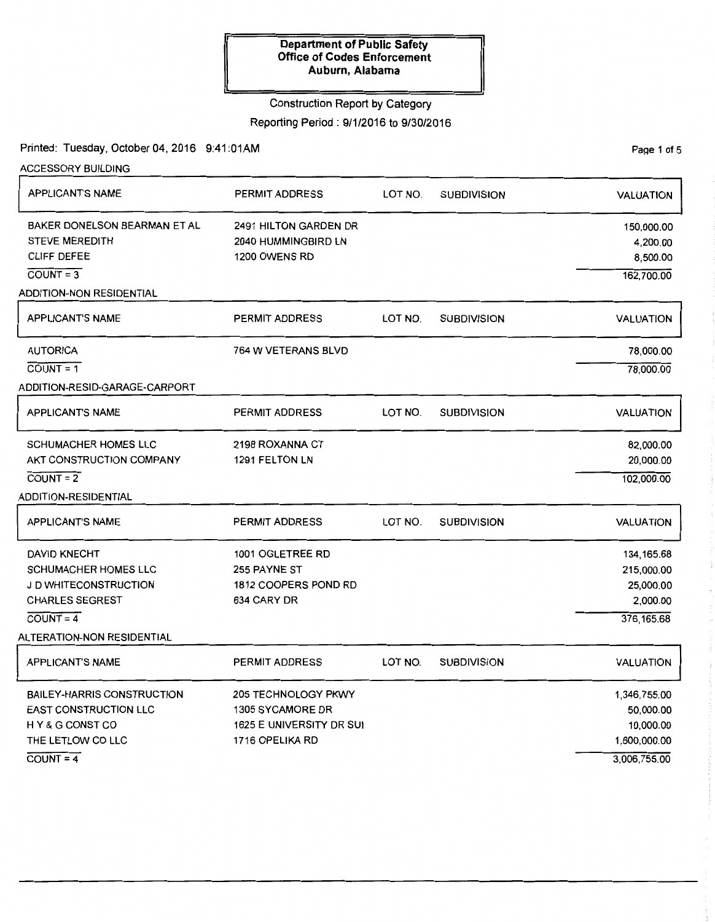### Construction Report by Category

Reporting Period: 9/1/2016 to 9/30/2016

Printed: Tuesday, October 04, 2016 9:41:01AM

| <b>ACCESSORY BUILDING</b>         |                            |         |                    |                  |
|-----------------------------------|----------------------------|---------|--------------------|------------------|
| <b>APPLICANT'S NAME</b>           | PERMIT ADDRESS             | LOT NO. | <b>SUBDIVISION</b> | <b>VALUATION</b> |
| BAKER DONELSON BEARMAN ET AL      | 2491 HILTON GARDEN DR      |         |                    | 150,000.00       |
| <b>STEVE MEREDITH</b>             | 2040 HUMMINGBIRD LN        |         |                    | 4,200.00         |
| <b>CLIFF DEFEE</b>                | 1200 OWENS RD              |         |                    | 8,500.00         |
| $COUNT = 3$                       |                            |         |                    | 162,700.00       |
| ADDITION-NON RESIDENTIAL          |                            |         |                    |                  |
| <b>APPLICANT'S NAME</b>           | PERMIT ADDRESS             | LOT NO. | <b>SUBDIVISION</b> | <b>VALUATION</b> |
| <b>AUTORICA</b>                   | 764 W VETERANS BLVD        |         |                    | 78,000.00        |
| $COUNT = 1$                       |                            |         |                    | 78,000.00        |
| ADDITION-RESID-GARAGE-CARPORT     |                            |         |                    |                  |
| <b>APPLICANT'S NAME</b>           | <b>PERMIT ADDRESS</b>      | LOT NO. | <b>SUBDIVISION</b> | <b>VALUATION</b> |
| <b>SCHUMACHER HOMES LLC</b>       | 2198 ROXANNA CT            |         |                    | 82,000.00        |
| AKT CONSTRUCTION COMPANY          | 1291 FELTON LN             |         |                    | 20,000.00        |
| $COUNT = 2$                       |                            |         |                    | 102,000.00       |
| <b>ADDITION-RESIDENTIAL</b>       |                            |         |                    |                  |
| <b>APPLICANT'S NAME</b>           | <b>PERMIT ADDRESS</b>      | LOT NO. | <b>SUBDIVISION</b> | <b>VALUATION</b> |
| <b>DAVID KNECHT</b>               | 1001 OGLETREE RD           |         |                    | 134, 165.68      |
| <b>SCHUMACHER HOMES LLC</b>       | 255 PAYNE ST               |         |                    | 215,000.00       |
| J D WHITECONSTRUCTION             | 1812 COOPERS POND RD       |         |                    | 25,000.00        |
| <b>CHARLES SEGREST</b>            | 634 CARY DR                |         |                    | 2,000.00         |
| $COUNT = 4$                       |                            |         |                    | 376, 165.68      |
| <b>ALTERATION-NON RESIDENTIAL</b> |                            |         |                    |                  |
| <b>APPLICANT'S NAME</b>           | <b>PERMIT ADDRESS</b>      | LOT NO. | <b>SUBDIVISION</b> | <b>VALUATION</b> |
| <b>BAILEY-HARRIS CONSTRUCTION</b> | <b>205 TECHNOLOGY PKWY</b> |         |                    | 1,346,755.00     |
| <b>EAST CONSTRUCTION LLC</b>      | <b>1305 SYCAMORE DR</b>    |         |                    | 50,000.00        |
| HY&G CONST CO                     | 1625 E UNIVERSITY DR SUI   |         |                    | 10,000.00        |
| THE LETLOW CO LLC                 | 1716 OPELIKA RD            |         |                    | 1,600,000.00     |
| $COUNT = 4$                       |                            |         |                    | 3,006,755.00     |

PaQe 1 of 5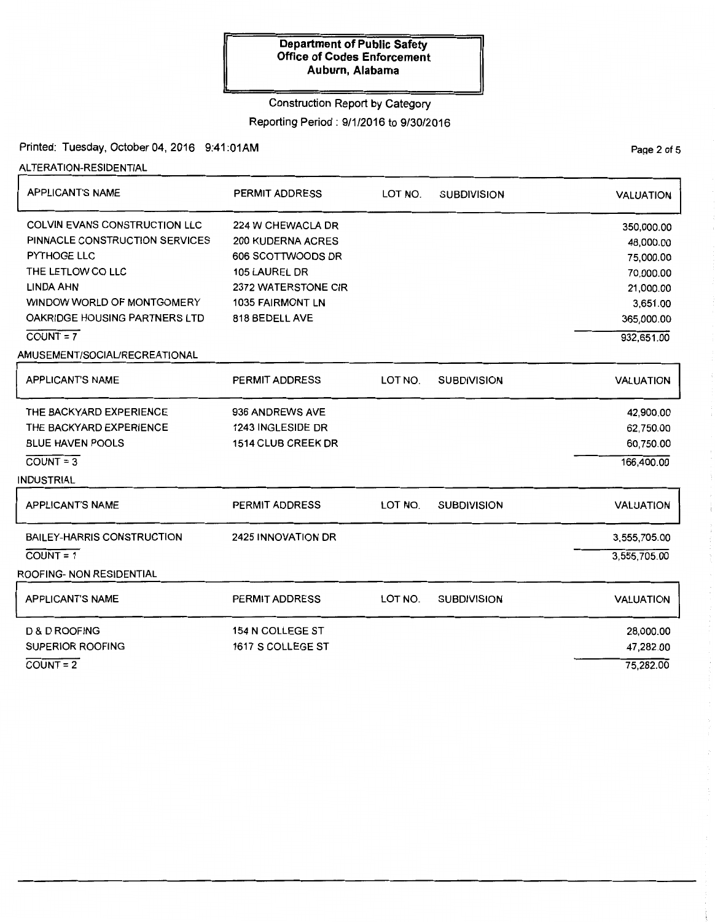#### Construction Report by Category

Reporting Period: 9/1/2016 to 9/30/2016

# Printed: Tuesday, October 04, 2016 9:41:01AM

ALTERATION-RESIDENTIAL

| <b>APPLICANT'S NAME</b>                                                                                                                                                                                             | <b>PERMIT ADDRESS</b>                                                                                                                            | LOT NO. | <b>SUBDIVISION</b> | <b>VALUATION</b>                                                                                       |
|---------------------------------------------------------------------------------------------------------------------------------------------------------------------------------------------------------------------|--------------------------------------------------------------------------------------------------------------------------------------------------|---------|--------------------|--------------------------------------------------------------------------------------------------------|
| <b>COLVIN EVANS CONSTRUCTION LLC</b><br>PINNACLE CONSTRUCTION SERVICES<br><b>PYTHOGE LLC</b><br>THE LETLOW CO LLC<br><b>LINDA AHN</b><br>WINDOW WORLD OF MONTGOMERY<br>OAKRIDGE HOUSING PARTNERS LTD<br>$COUNT = 7$ | 224 W CHEWACLA DR<br><b>200 KUDERNA ACRES</b><br>606 SCOTTWOODS DR<br>105 LAUREL DR<br>2372 WATERSTONE CIR<br>1035 FAIRMONT LN<br>818 BEDELL AVE |         |                    | 350,000.00<br>48,000.00<br>75,000.00<br>70,000.00<br>21,000.00<br>3,651.00<br>365,000.00<br>932,651.00 |
| AMUSEMENT/SOCIAL/RECREATIONAL<br><b>APPLICANT'S NAME</b>                                                                                                                                                            | <b>PERMIT ADDRESS</b>                                                                                                                            | LOT NO. | <b>SUBDIVISION</b> | <b>VALUATION</b>                                                                                       |
| THE BACKYARD EXPERIENCE<br>THE BACKYARD EXPERIENCE<br><b>BLUE HAVEN POOLS</b><br>$COUNT = 3$                                                                                                                        | 936 ANDREWS AVE<br>1243 INGLESIDE DR<br><b>1514 CLUB CREEK DR</b>                                                                                |         |                    | 42,900.00<br>62,750.00<br>60,750.00<br>166,400.00                                                      |
| <b>INDUSTRIAL</b><br><b>APPLICANT'S NAME</b>                                                                                                                                                                        | PERMIT ADDRESS                                                                                                                                   | LOT NO. | <b>SUBDIVISION</b> | <b>VALUATION</b>                                                                                       |
| <b>BAILEY-HARRIS CONSTRUCTION</b><br>$COUNT = 1$<br><b>ROOFING- NON RESIDENTIAL</b>                                                                                                                                 | 2425 INNOVATION DR                                                                                                                               |         |                    | 3,555,705.00<br>3,555,705.00                                                                           |
| <b>APPLICANT'S NAME</b>                                                                                                                                                                                             | <b>PERMIT ADDRESS</b>                                                                                                                            | LOT NO. | <b>SUBDIVISION</b> | <b>VALUATION</b>                                                                                       |
| <b>D &amp; D ROOFING</b><br><b>SUPERIOR ROOFING</b><br>$COUNT = 2$                                                                                                                                                  | <b>154 N COLLEGE ST</b><br>1617 S COLLEGE ST                                                                                                     |         |                    | 28,000.00<br>47,282.00<br>75,282.00                                                                    |
|                                                                                                                                                                                                                     |                                                                                                                                                  |         |                    |                                                                                                        |

PaQe 2 of 5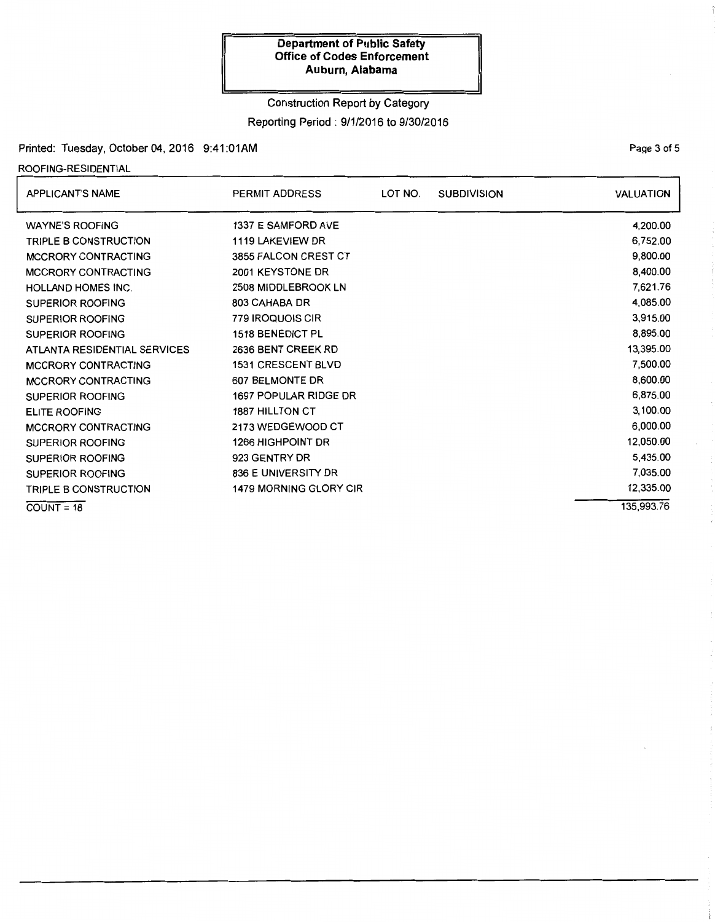# Construction Report by Category

### Reporting Period: 9/1/2016 to 9/30/2016

# Printed: Tuesday, October 04, 2016 9:41 :01AM

### ROOFING-RESIDENTIAL

| <b>APPLICANT'S NAME</b>      | PERMIT ADDRESS                | LOT NO. | <b>SUBDIVISION</b> | <b>VALUATION</b> |
|------------------------------|-------------------------------|---------|--------------------|------------------|
| <b>WAYNE'S ROOFING</b>       | 1337 E SAMFORD AVE            |         |                    | 4,200.00         |
| <b>TRIPLE B CONSTRUCTION</b> | 1119 LAKEVIEW DR              |         |                    | 6,752.00         |
| MCCRORY CONTRACTING          | 3855 FALCON CREST CT          |         |                    | 9,800.00         |
| MCCRORY CONTRACTING          | 2001 KEYSTONE DR              |         |                    | 8,400.00         |
| <b>HOLLAND HOMES INC.</b>    | 2508 MIDDLEBROOK LN           |         |                    | 7,621.76         |
| <b>SUPERIOR ROOFING</b>      | 803 CAHABA DR                 |         |                    | 4,085.00         |
| <b>SUPERIOR ROOFING</b>      | 779 IROQUOIS CIR              |         |                    | 3,915.00         |
| <b>SUPERIOR ROOFING</b>      | 1518 BENEDICT PL              |         |                    | 8,895.00         |
| ATLANTA RESIDENTIAL SERVICES | 2636 BENT CREEK RD            |         |                    | 13,395.00        |
| MCCRORY CONTRACTING          | <b>1531 CRESCENT BLVD</b>     |         |                    | 7,500.00         |
| <b>MCCRORY CONTRACTING</b>   | 607 BELMONTE DR               |         |                    | 8,600.00         |
| <b>SUPERIOR ROOFING</b>      | 1697 POPULAR RIDGE DR         |         |                    | 6,875.00         |
| <b>ELITE ROOFING</b>         | <b>1887 HILLTON CT</b>        |         |                    | 3,100.00         |
| <b>MCCRORY CONTRACTING</b>   | 2173 WEDGEWOOD CT             |         |                    | 6,000.00         |
| <b>SUPERIOR ROOFING</b>      | <b>1266 HIGHPOINT DR</b>      |         |                    | 12,050.00        |
| <b>SUPERIOR ROOFING</b>      | 923 GENTRY DR                 |         |                    | 5,435.00         |
| <b>SUPERIOR ROOFING</b>      | 836 E UNIVERSITY DR           |         |                    | 7,035.00         |
| TRIPLE B CONSTRUCTION        | <b>1479 MORNING GLORY CIR</b> |         |                    | 12,335.00        |
| $COUNT = 18$                 |                               |         |                    | 135.993.76       |

Page 3 of 5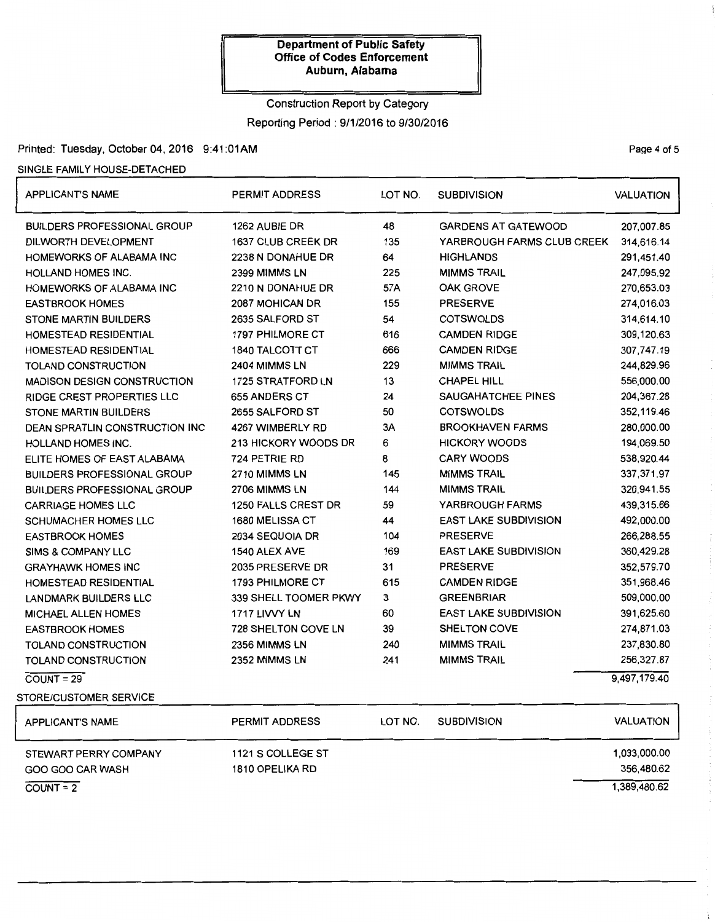# Construction Report by Category Reporting Period: 9/1/2016 to 9/30/2016

## Printed: Tuesday, October 04, 2016 9:41 :01AM

### SINGLE FAMILY HOUSE-DETACHED

 $COUNT = 2$ 

| <b>APPLICANT'S NAME</b>               | <b>PERMIT ADDRESS</b>      | LOT NO. | <b>SUBDIVISION</b>           | <b>VALUATION</b> |
|---------------------------------------|----------------------------|---------|------------------------------|------------------|
| <b>BUILDERS PROFESSIONAL GROUP</b>    | 1262 AUBIE DR              | 48      | <b>GARDENS AT GATEWOOD</b>   | 207,007.85       |
| DILWORTH DEVELOPMENT                  | 1637 CLUB CREEK DR         | 135     | YARBROUGH FARMS CLUB CREEK   | 314,616.14       |
| HOMEWORKS OF ALABAMA INC              | 2238 N DONAHUE DR          | 64      | <b>HIGHLANDS</b>             | 291,451.40       |
| <b>HOLLAND HOMES INC.</b>             | 2399 MIMMS LN              | 225     | <b>MIMMS TRAIL</b>           | 247,095.92       |
| HOMEWORKS OF ALABAMA INC              | 2210 N DONAHUE DR          | 57A     | <b>OAK GROVE</b>             | 270,653.03       |
| <b>EASTBROOK HOMES</b>                | 2087 MOHICAN DR            | 155     | <b>PRESERVE</b>              | 274,016.03       |
| <b>STONE MARTIN BUILDERS</b>          | 2635 SALFORD ST            | 54      | <b>COTSWOLDS</b>             | 314,614.10       |
| <b>HOMESTEAD RESIDENTIAL</b>          | <b>1797 PHILMORE CT</b>    | 616     | <b>CAMDEN RIDGE</b>          | 309,120.63       |
| HOMESTEAD RESIDENTIAL                 | <b>1840 TALCOTT CT</b>     | 666     | <b>CAMDEN RIDGE</b>          | 307,747.19       |
| TOLAND CONSTRUCTION                   | 2404 MIMMS LN              | 229     | <b>MIMMS TRAIL</b>           | 244,829.96       |
| <b>MADISON DESIGN CONSTRUCTION</b>    | 1725 STRATFORD LN          | 13      | <b>CHAPEL HILL</b>           | 556,000.00       |
| RIDGE CREST PROPERTIES LLC            | 655 ANDERS CT              | 24      | SAUGAHATCHEE PINES           | 204,367.28       |
| <b>STONE MARTIN BUILDERS</b>          | 2655 SALFORD ST            | 50      | <b>COTSWOLDS</b>             | 352,119.46       |
| <b>DEAN SPRATLIN CONSTRUCTION INC</b> | 4267 WIMBERLY RD           | 3A      | <b>BROOKHAVEN FARMS</b>      | 280,000.00       |
| <b>HOLLAND HOMES INC.</b>             | 213 HICKORY WOODS DR       | 6       | <b>HICKORY WOODS</b>         | 194,069.50       |
| ELITE HOMES OF EAST ALABAMA           | 724 PETRIE RD              | 8       | <b>CARY WOODS</b>            | 538,920.44       |
| <b>BUILDERS PROFESSIONAL GROUP</b>    | 2710 MIMMS LN              | 145     | <b>MIMMS TRAIL</b>           | 337, 371.97      |
| <b>BUILDERS PROFESSIONAL GROUP</b>    | 2706 MIMMS LN              | 144     | <b>MIMMS TRAIL</b>           | 320,941.55       |
| <b>CARRIAGE HOMES LLC</b>             | 1250 FALLS CREST DR        | 59      | YARBROUGH FARMS              | 439,315.66       |
| <b>SCHUMACHER HOMES LLC</b>           | <b>1680 MELISSA CT</b>     | 44      | <b>EAST LAKE SUBDIVISION</b> | 492,000.00       |
| <b>EASTBROOK HOMES</b>                | 2034 SEQUOIA DR            | 104     | <b>PRESERVE</b>              | 266,288.55       |
| SIMS & COMPANY LLC                    | 1540 ALEX AVE              | 169     | EAST LAKE SUBDIVISION        | 360,429.28       |
| <b>GRAYHAWK HOMES INC</b>             | 2035 PRESERVE DR           | 31      | <b>PRESERVE</b>              | 352,579.70       |
| HOMESTEAD RESIDENTIAL                 | 1793 PHILMORE CT           | 615     | <b>CAMDEN RIDGE</b>          | 351,968.46       |
| <b>LANDMARK BUILDERS LLC</b>          | 339 SHELL TOOMER PKWY      | 3       | <b>GREENBRIAR</b>            | 509,000.00       |
| <b>MICHAEL ALLEN HOMES</b>            | 1717 LIVVY LN              | 60      | <b>EAST LAKE SUBDIVISION</b> | 391,625.60       |
| <b>EASTBROOK HOMES</b>                | <b>728 SHELTON COVE LN</b> | 39      | <b>SHELTON COVE</b>          | 274,871.03       |
| TOLAND CONSTRUCTION                   | 2356 MIMMS LN              | 240     | <b>MIMMS TRAIL</b>           | 237,830.80       |
| TOLAND CONSTRUCTION                   | 2352 MIMMS LN              | 241     | <b>MIMMS TRAIL</b>           | 256,327.87       |
| $COUNT = 29$                          |                            |         |                              | 9,497,179.40     |
| STORE/CUSTOMER SERVICE                |                            |         |                              |                  |
| <b>APPLICANT'S NAME</b>               | PERMIT ADDRESS             | LOT NO. | <b>SUBDIVISION</b>           | <b>VALUATION</b> |
| STEWART PERRY COMPANY                 | 1121 S COLLEGE ST          |         |                              | 1,033,000.00     |
| GOO GOO CAR WASH                      | 1810 OPELIKA RD            |         |                              | 356,480.62       |

1,389,480.62

## Page 4 of 5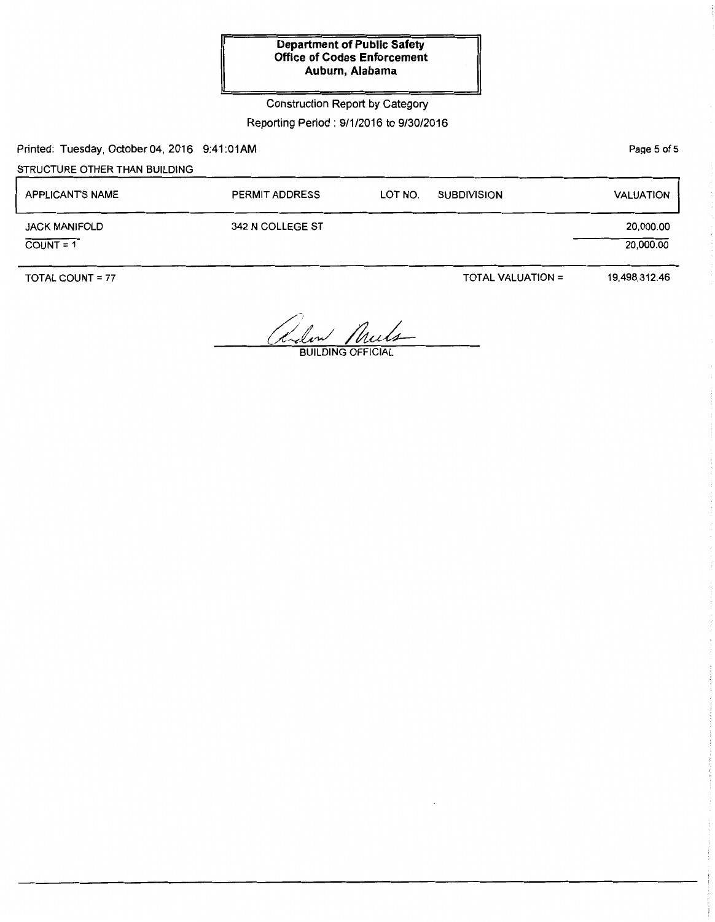## Construction Report by Category

#### Reporting Period: 9/1/2016 to 9/30/2016

Printed: Tuesday, October 04, 2016 9:41:01AM

# STRUCTURE OTHER THAN BUILDING

| <b>APPLICANT'S NAME</b>             | <b>PERMIT ADDRESS</b> | LOT NO. | <b>SUBDIVISION</b> | <b>VALUATION</b>       |
|-------------------------------------|-----------------------|---------|--------------------|------------------------|
| <b>JACK MANIFOLD</b><br>$COUNT = 1$ | 342 N COLLEGE ST      |         |                    | 20,000.00<br>20,000.00 |

TOTAL COUNT = 77

TOTAL VALUATION=

19,498,312.46

Relex Muls

Page 5 of 5